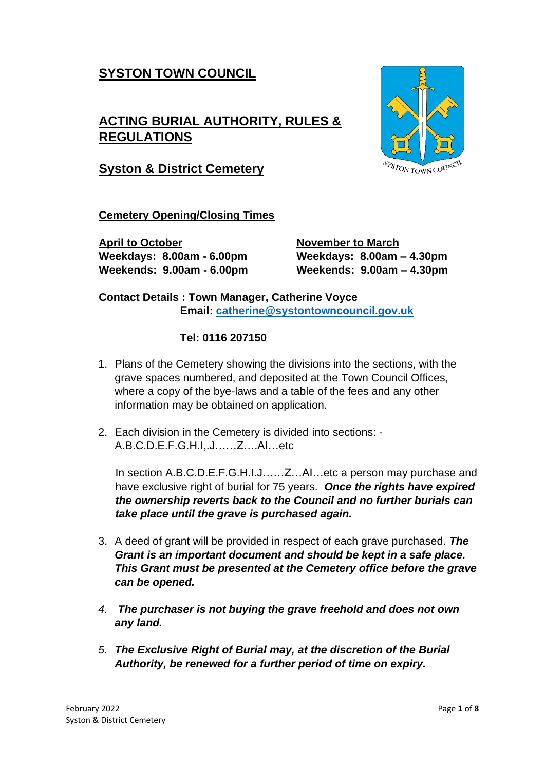# **SYSTON TOWN COUNCIL**

# **ACTING BURIAL AUTHORITY, RULES & REGULATIONS**



**Syston & District Cemetery**

**Cemetery Opening/Closing Times**

**April to October November to March**

**Weekdays: 8.00am - 6.00pm Weekdays: 8.00am – 4.30pm Weekends: 9.00am - 6.00pm Weekends: 9.00am – 4.30pm**

**Contact Details : Town Manager, Catherine Voyce Email: [catherine@systontowncouncil.gov.uk](mailto:catherine@systontowncouncil.gov.uk)**

#### **Tel: 0116 207150**

- 1. Plans of the Cemetery showing the divisions into the sections, with the grave spaces numbered, and deposited at the Town Council Offices, where a copy of the bye-laws and a table of the fees and any other information may be obtained on application.
- 2. Each division in the Cemetery is divided into sections: A.B.C.D.E.F.G.H.I,.J……Z….AI…etc

In section A.B.C.D.E.F.G.H.I.J……Z…AI…etc a person may purchase and have exclusive right of burial for 75 years. *Once the rights have expired the ownership reverts back to the Council and no further burials can take place until the grave is purchased again.*

- 3. A deed of grant will be provided in respect of each grave purchased. *The Grant is an important document and should be kept in a safe place. This Grant must be presented at the Cemetery office before the grave can be opened.*
- *4. The purchaser is not buying the grave freehold and does not own any land.*
- *5. The Exclusive Right of Burial may, at the discretion of the Burial Authority, be renewed for a further period of time on expiry.*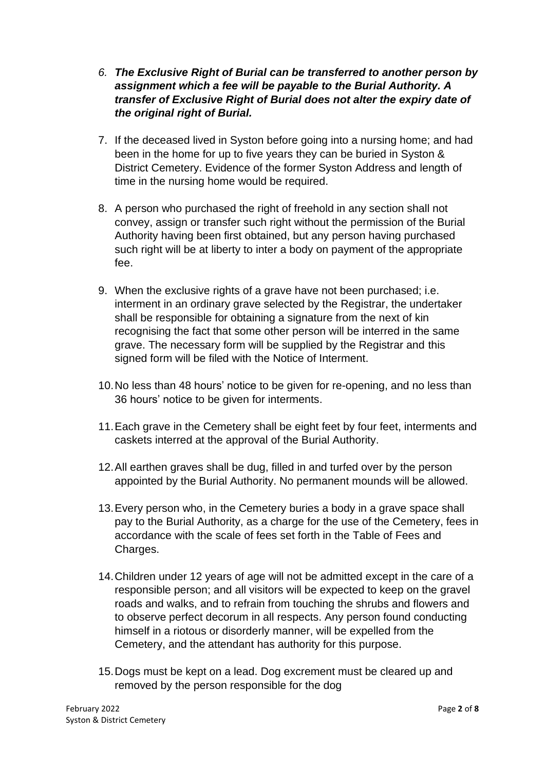- *6. The Exclusive Right of Burial can be transferred to another person by assignment which a fee will be payable to the Burial Authority. A transfer of Exclusive Right of Burial does not alter the expiry date of the original right of Burial.*
- 7. If the deceased lived in Syston before going into a nursing home; and had been in the home for up to five years they can be buried in Syston & District Cemetery. Evidence of the former Syston Address and length of time in the nursing home would be required.
- 8. A person who purchased the right of freehold in any section shall not convey, assign or transfer such right without the permission of the Burial Authority having been first obtained, but any person having purchased such right will be at liberty to inter a body on payment of the appropriate fee.
- 9. When the exclusive rights of a grave have not been purchased; i.e. interment in an ordinary grave selected by the Registrar, the undertaker shall be responsible for obtaining a signature from the next of kin recognising the fact that some other person will be interred in the same grave. The necessary form will be supplied by the Registrar and this signed form will be filed with the Notice of Interment.
- 10.No less than 48 hours' notice to be given for re-opening, and no less than 36 hours' notice to be given for interments.
- 11.Each grave in the Cemetery shall be eight feet by four feet, interments and caskets interred at the approval of the Burial Authority.
- 12.All earthen graves shall be dug, filled in and turfed over by the person appointed by the Burial Authority. No permanent mounds will be allowed.
- 13.Every person who, in the Cemetery buries a body in a grave space shall pay to the Burial Authority, as a charge for the use of the Cemetery, fees in accordance with the scale of fees set forth in the Table of Fees and Charges.
- 14.Children under 12 years of age will not be admitted except in the care of a responsible person; and all visitors will be expected to keep on the gravel roads and walks, and to refrain from touching the shrubs and flowers and to observe perfect decorum in all respects. Any person found conducting himself in a riotous or disorderly manner, will be expelled from the Cemetery, and the attendant has authority for this purpose.
- 15.Dogs must be kept on a lead. Dog excrement must be cleared up and removed by the person responsible for the dog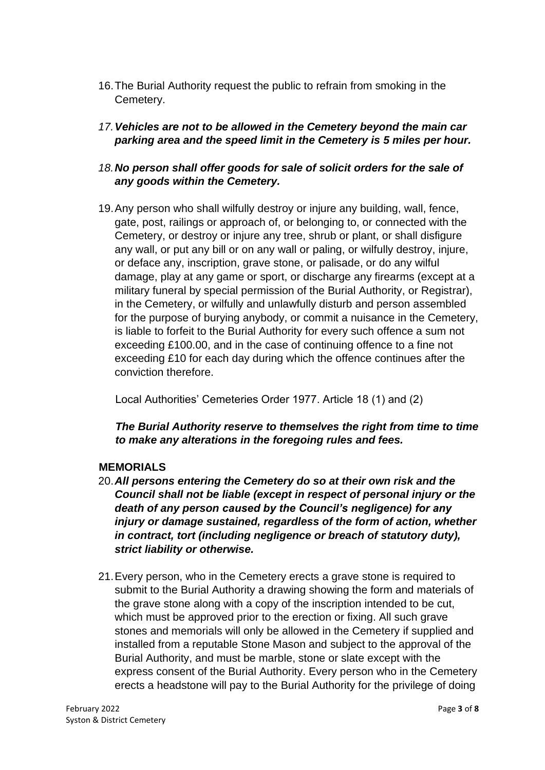- 16.The Burial Authority request the public to refrain from smoking in the Cemetery.
- *17.Vehicles are not to be allowed in the Cemetery beyond the main car parking area and the speed limit in the Cemetery is 5 miles per hour.*
- *18.No person shall offer goods for sale of solicit orders for the sale of any goods within the Cemetery.*
- 19.Any person who shall wilfully destroy or injure any building, wall, fence, gate, post, railings or approach of, or belonging to, or connected with the Cemetery, or destroy or injure any tree, shrub or plant, or shall disfigure any wall, or put any bill or on any wall or paling, or wilfully destroy, injure, or deface any, inscription, grave stone, or palisade, or do any wilful damage, play at any game or sport, or discharge any firearms (except at a military funeral by special permission of the Burial Authority, or Registrar), in the Cemetery, or wilfully and unlawfully disturb and person assembled for the purpose of burying anybody, or commit a nuisance in the Cemetery, is liable to forfeit to the Burial Authority for every such offence a sum not exceeding £100.00, and in the case of continuing offence to a fine not exceeding £10 for each day during which the offence continues after the conviction therefore.

Local Authorities' Cemeteries Order 1977. Article 18 (1) and (2)

*The Burial Authority reserve to themselves the right from time to time to make any alterations in the foregoing rules and fees.* 

### **MEMORIALS**

- 20.*All persons entering the Cemetery do so at their own risk and the Council shall not be liable (except in respect of personal injury or the death of any person caused by the Council's negligence) for any injury or damage sustained, regardless of the form of action, whether in contract, tort (including negligence or breach of statutory duty), strict liability or otherwise.*
- 21.Every person, who in the Cemetery erects a grave stone is required to submit to the Burial Authority a drawing showing the form and materials of the grave stone along with a copy of the inscription intended to be cut, which must be approved prior to the erection or fixing. All such grave stones and memorials will only be allowed in the Cemetery if supplied and installed from a reputable Stone Mason and subject to the approval of the Burial Authority, and must be marble, stone or slate except with the express consent of the Burial Authority. Every person who in the Cemetery erects a headstone will pay to the Burial Authority for the privilege of doing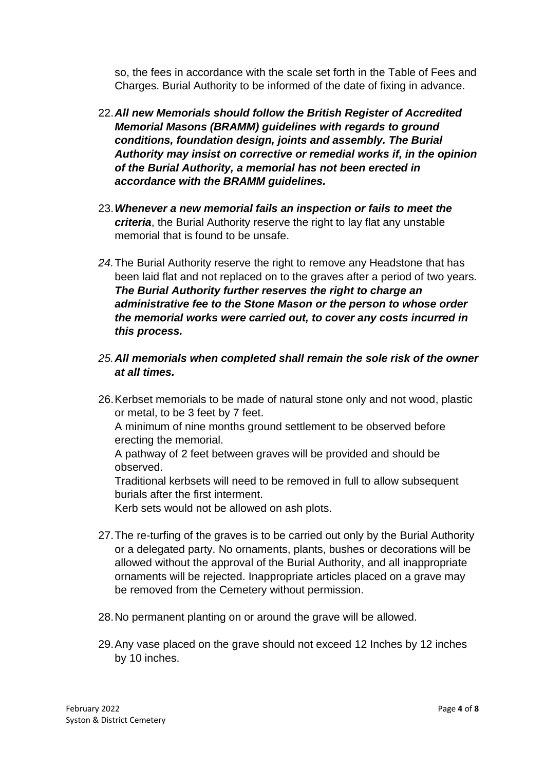so, the fees in accordance with the scale set forth in the Table of Fees and Charges. Burial Authority to be informed of the date of fixing in advance.

- 22.*All new Memorials should follow the British Register of Accredited Memorial Masons (BRAMM) guidelines with regards to ground conditions, foundation design, joints and assembly. The Burial Authority may insist on corrective or remedial works if, in the opinion of the Burial Authority, a memorial has not been erected in accordance with the BRAMM guidelines.*
- 23.*Whenever a new memorial fails an inspection or fails to meet the criteria*, the Burial Authority reserve the right to lay flat any unstable memorial that is found to be unsafe.
- *24.*The Burial Authority reserve the right to remove any Headstone that has been laid flat and not replaced on to the graves after a period of two years. *The Burial Authority further reserves the right to charge an administrative fee to the Stone Mason or the person to whose order the memorial works were carried out, to cover any costs incurred in this process.*
- *25.All memorials when completed shall remain the sole risk of the owner at all times.*
- 26.Kerbset memorials to be made of natural stone only and not wood, plastic or metal, to be 3 feet by 7 feet.

A minimum of nine months ground settlement to be observed before erecting the memorial.

A pathway of 2 feet between graves will be provided and should be observed.

Traditional kerbsets will need to be removed in full to allow subsequent burials after the first interment.

Kerb sets would not be allowed on ash plots.

- 27.The re-turfing of the graves is to be carried out only by the Burial Authority or a delegated party. No ornaments, plants, bushes or decorations will be allowed without the approval of the Burial Authority, and all inappropriate ornaments will be rejected. Inappropriate articles placed on a grave may be removed from the Cemetery without permission.
- 28.No permanent planting on or around the grave will be allowed.
- 29.Any vase placed on the grave should not exceed 12 Inches by 12 inches by 10 inches.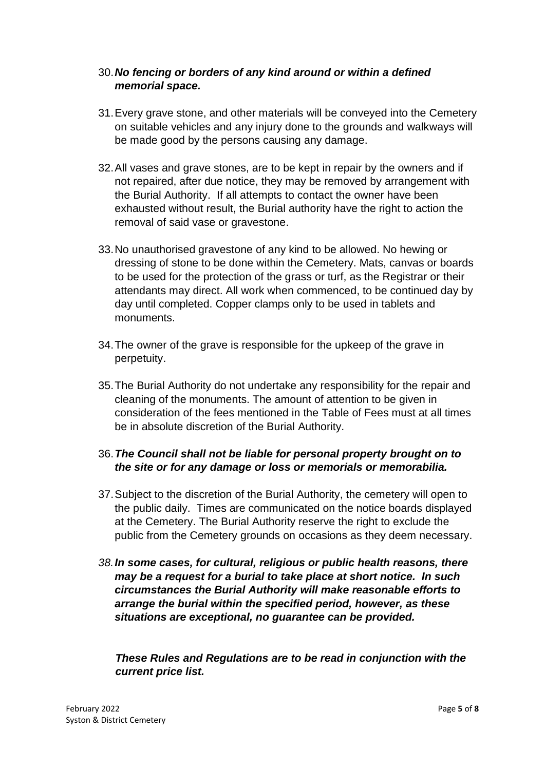### 30.*No fencing or borders of any kind around or within a defined memorial space.*

- 31.Every grave stone, and other materials will be conveyed into the Cemetery on suitable vehicles and any injury done to the grounds and walkways will be made good by the persons causing any damage.
- 32.All vases and grave stones, are to be kept in repair by the owners and if not repaired, after due notice, they may be removed by arrangement with the Burial Authority. If all attempts to contact the owner have been exhausted without result, the Burial authority have the right to action the removal of said vase or gravestone.
- 33.No unauthorised gravestone of any kind to be allowed. No hewing or dressing of stone to be done within the Cemetery. Mats, canvas or boards to be used for the protection of the grass or turf, as the Registrar or their attendants may direct. All work when commenced, to be continued day by day until completed. Copper clamps only to be used in tablets and monuments.
- 34.The owner of the grave is responsible for the upkeep of the grave in perpetuity.
- 35.The Burial Authority do not undertake any responsibility for the repair and cleaning of the monuments. The amount of attention to be given in consideration of the fees mentioned in the Table of Fees must at all times be in absolute discretion of the Burial Authority.

### 36.*The Council shall not be liable for personal property brought on to the site or for any damage or loss or memorials or memorabilia.*

- 37.Subject to the discretion of the Burial Authority, the cemetery will open to the public daily. Times are communicated on the notice boards displayed at the Cemetery. The Burial Authority reserve the right to exclude the public from the Cemetery grounds on occasions as they deem necessary.
- *38.In some cases, for cultural, religious or public health reasons, there may be a request for a burial to take place at short notice. In such circumstances the Burial Authority will make reasonable efforts to arrange the burial within the specified period, however, as these situations are exceptional, no guarantee can be provided.*

*These Rules and Regulations are to be read in conjunction with the current price list.*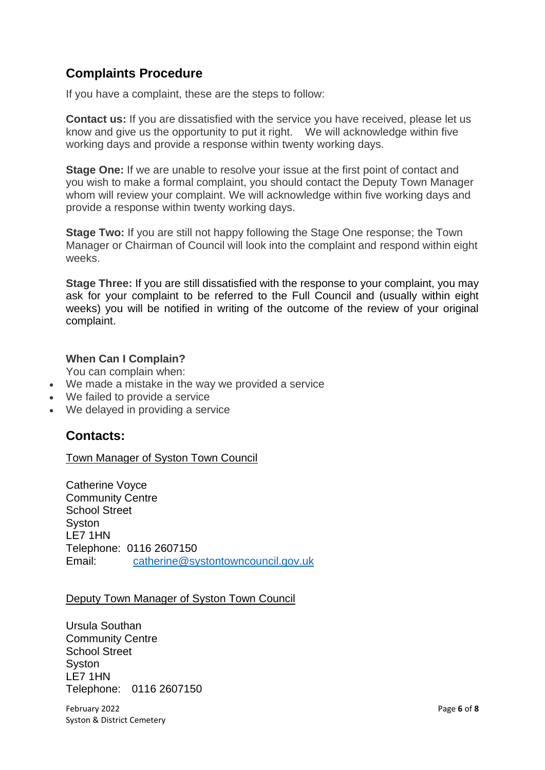# **Complaints Procedure**

If you have a complaint, these are the steps to follow:

**Contact us:** If you are dissatisfied with the service you have received, please let us know and give us the opportunity to put it right. We will acknowledge within five working days and provide a response within twenty working days.

**Stage One:** If we are unable to resolve your issue at the first point of contact and you wish to make a formal complaint, you should contact the Deputy Town Manager whom will review your complaint. We will acknowledge within five working days and provide a response within twenty working days.

**Stage Two:** If you are still not happy following the Stage One response; the Town Manager or Chairman of Council will look into the complaint and respond within eight weeks.

**Stage Three:** If you are still dissatisfied with the response to your complaint, you may ask for your complaint to be referred to the Full Council and (usually within eight weeks) you will be notified in writing of the outcome of the review of your original complaint.

#### **When Can I Complain?**

You can complain when:

- We made a mistake in the way we provided a service
- We failed to provide a service
- We delayed in providing a service

### **Contacts:**

#### Town Manager of Syston Town Council

Catherine Voyce Community Centre School Street **Syston** LE7 1HN Telephone: 0116 2607150 Email: [catherine@systontowncouncil.gov.uk](mailto:catherine@systontowncouncil.gov.uk)

#### Deputy Town Manager of Syston Town Council

Ursula Southan Community Centre School Street **Syston** LE7 1HN Telephone: 0116 2607150

February 2022 Page **6** of **8** Syston & District Cemetery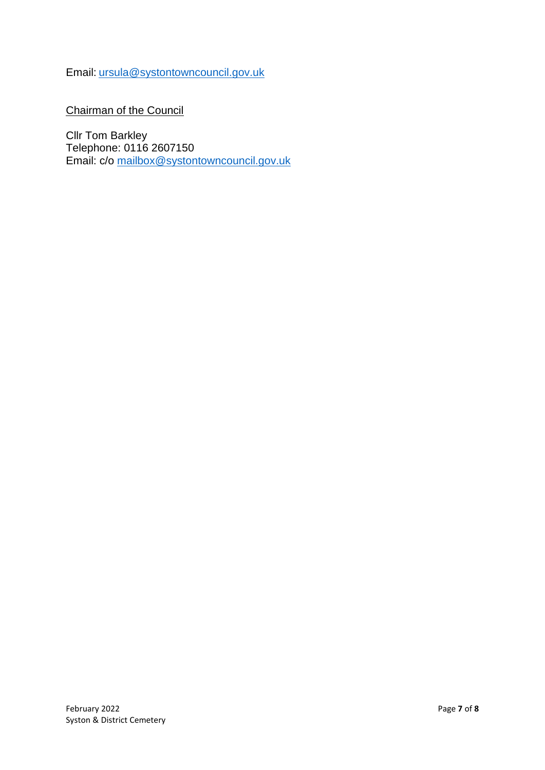Email: [ursula@systontowncouncil.gov.uk](mailto:ursula@systontowncouncil.gov.uk)

Chairman of the Council

Cllr Tom Barkley Telephone: 0116 2607150 Email: c/o [mailbox@systontowncouncil.gov.uk](mailto:mailbox@systontowncouncil.gov.uk)